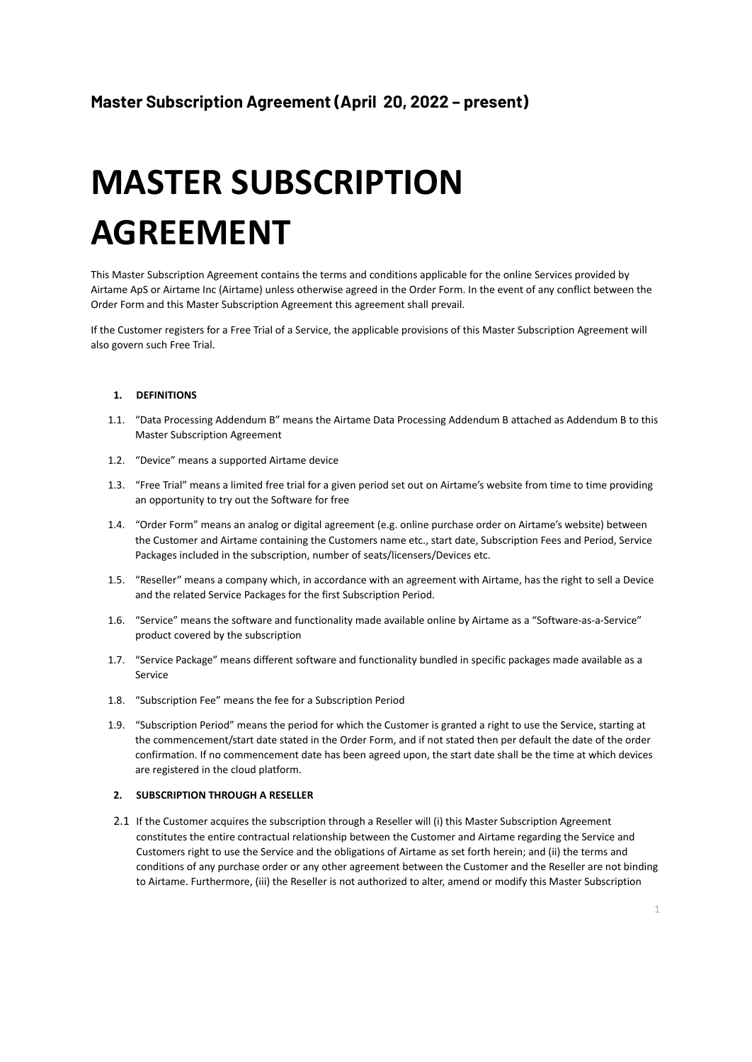# **MASTER SUBSCRIPTION AGREEMENT**

This Master Subscription Agreement contains the terms and conditions applicable for the online Services provided by Airtame ApS or Airtame Inc (Airtame) unless otherwise agreed in the Order Form. In the event of any conflict between the Order Form and this Master Subscription Agreement this agreement shall prevail.

If the Customer registers for a Free Trial of a Service, the applicable provisions of this Master Subscription Agreement will also govern such Free Trial.

# **1. DEFINITIONS**

- 1.1. "Data Processing Addendum B" means the Airtame Data Processing Addendum B attached as Addendum B to this Master Subscription Agreement
- 1.2. "Device" means a supported Airtame device
- 1.3. "Free Trial" means a limited free trial for a given period set out on Airtame's website from time to time providing an opportunity to try out the Software for free
- 1.4. "Order Form" means an analog or digital agreement (e.g. online purchase order on Airtame's website) between the Customer and Airtame containing the Customers name etc., start date, Subscription Fees and Period, Service Packages included in the subscription, number of seats/licensers/Devices etc.
- 1.5. "Reseller" means a company which, in accordance with an agreement with Airtame, has the right to sell a Device and the related Service Packages for the first Subscription Period.
- 1.6. "Service" means the software and functionality made available online by Airtame as a "Software-as-a-Service" product covered by the subscription
- 1.7. "Service Package" means different software and functionality bundled in specific packages made available as a Service
- 1.8. "Subscription Fee" means the fee for a Subscription Period
- 1.9. "Subscription Period" means the period for which the Customer is granted a right to use the Service, starting at the commencement/start date stated in the Order Form, and if not stated then per default the date of the order confirmation. If no commencement date has been agreed upon, the start date shall be the time at which devices are registered in the cloud platform.

#### **2. SUBSCRIPTION THROUGH A RESELLER**

2.1 If the Customer acquires the subscription through a Reseller will (i) this Master Subscription Agreement constitutes the entire contractual relationship between the Customer and Airtame regarding the Service and Customers right to use the Service and the obligations of Airtame as set forth herein; and (ii) the terms and conditions of any purchase order or any other agreement between the Customer and the Reseller are not binding to Airtame. Furthermore, (iii) the Reseller is not authorized to alter, amend or modify this Master Subscription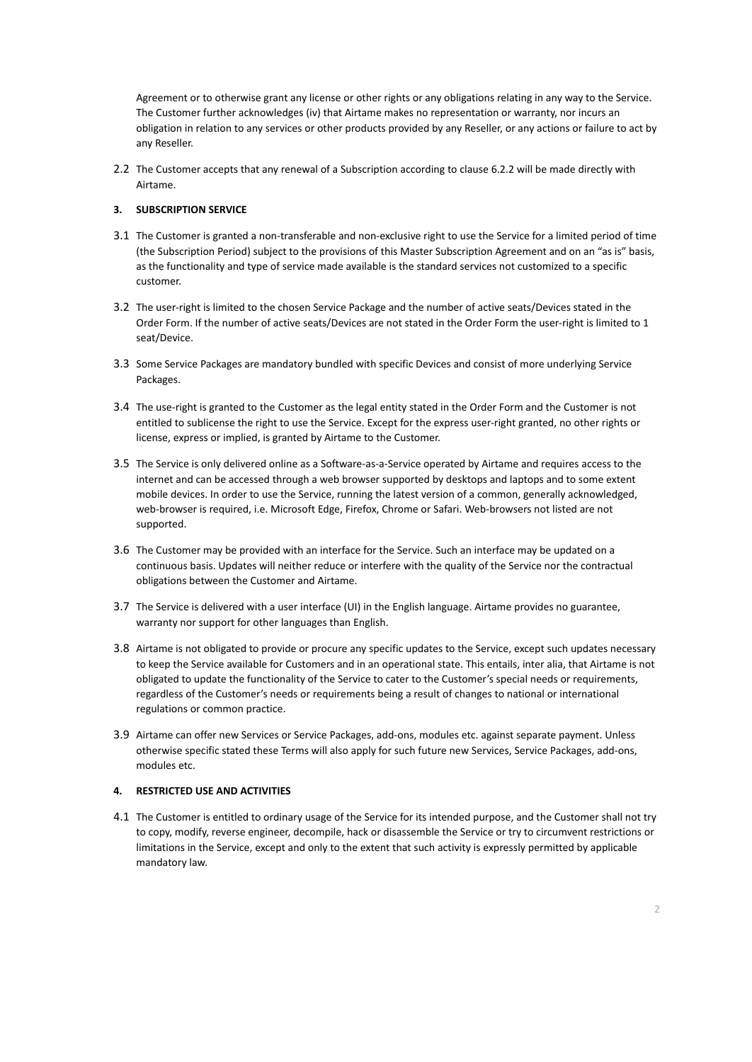Agreement or to otherwise grant any license or other rights or any obligations relating in any way to the Service. The Customer further acknowledges (iv) that Airtame makes no representation or warranty, nor incurs an obligation in relation to any services or other products provided by any Reseller, or any actions or failure to act by any Reseller.

2.2 The Customer accepts that any renewal of a Subscription according to clause 6.2.2 will be made directly with Airtame.

## **3. SUBSCRIPTION SERVICE**

- 3.1 The Customer is granted a non-transferable and non-exclusive right to use the Service for a limited period of time (the Subscription Period) subject to the provisions of this Master Subscription Agreement and on an "as is" basis, as the functionality and type of service made available is the standard services not customized to a specific customer.
- 3.2 The user-right is limited to the chosen Service Package and the number of active seats/Devices stated in the Order Form. If the number of active seats/Devices are not stated in the Order Form the user-right is limited to 1 seat/Device.
- 3.3 Some Service Packages are mandatory bundled with specific Devices and consist of more underlying Service Packages.
- 3.4 The use-right is granted to the Customer as the legal entity stated in the Order Form and the Customer is not entitled to sublicense the right to use the Service. Except for the express user-right granted, no other rights or license, express or implied, is granted by Airtame to the Customer.
- 3.5 The Service is only delivered online as a Software-as-a-Service operated by Airtame and requires access to the internet and can be accessed through a web browser supported by desktops and laptops and to some extent mobile devices. In order to use the Service, running the latest version of a common, generally acknowledged, web-browser is required, i.e. Microsoft Edge, Firefox, Chrome or Safari. Web-browsers not listed are not supported.
- 3.6 The Customer may be provided with an interface for the Service. Such an interface may be updated on a continuous basis. Updates will neither reduce or interfere with the quality of the Service nor the contractual obligations between the Customer and Airtame.
- 3.7 The Service is delivered with a user interface (UI) in the English language. Airtame provides no guarantee, warranty nor support for other languages than English.
- 3.8 Airtame is not obligated to provide or procure any specific updates to the Service, except such updates necessary to keep the Service available for Customers and in an operational state. This entails, inter alia, that Airtame is not obligated to update the functionality of the Service to cater to the Customer's special needs or requirements, regardless of the Customer's needs or requirements being a result of changes to national or international regulations or common practice.
- 3.9 Airtame can offer new Services or Service Packages, add-ons, modules etc. against separate payment. Unless otherwise specific stated these Terms will also apply for such future new Services, Service Packages, add-ons, modules etc.

## **4. RESTRICTED USE AND ACTIVITIES**

4.1 The Customer is entitled to ordinary usage of the Service for its intended purpose, and the Customer shall not try to copy, modify, reverse engineer, decompile, hack or disassemble the Service or try to circumvent restrictions or limitations in the Service, except and only to the extent that such activity is expressly permitted by applicable mandatory law.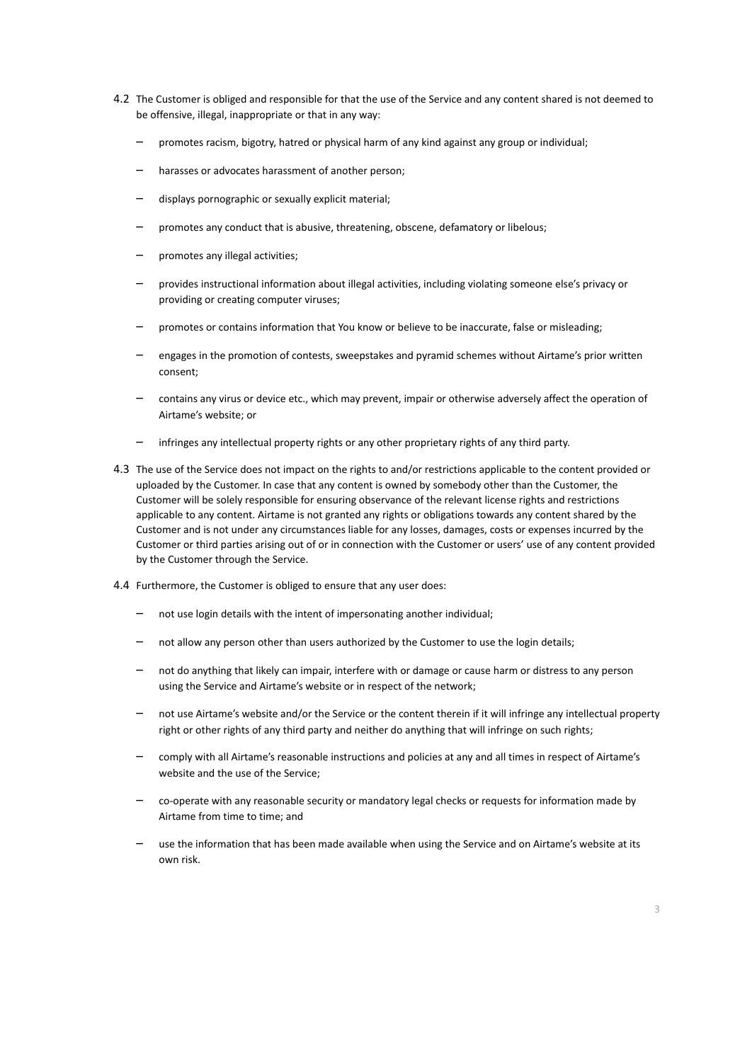- 4.2 The Customer is obliged and responsible for that the use of the Service and any content shared is not deemed to be offensive, illegal, inappropriate or that in any way:
	- promotes racism, bigotry, hatred or physical harm of any kind against any group or individual;
	- harasses or advocates harassment of another person:
	- displays pornographic or sexually explicit material;
	- promotes any conduct that is abusive, threatening, obscene, defamatory or libelous;
	- promotes any illegal activities;
	- provides instructional information about illegal activities, including violating someone else's privacy or providing or creating computer viruses;
	- promotes or contains information that You know or believe to be inaccurate, false or misleading;
	- engages in the promotion of contests, sweepstakes and pyramid schemes without Airtame's prior written consent;
	- contains any virus or device etc., which may prevent, impair or otherwise adversely affect the operation of Airtame's website; or
	- infringes any intellectual property rights or any other proprietary rights of any third party.
- 4.3 The use of the Service does not impact on the rights to and/or restrictions applicable to the content provided or uploaded by the Customer. In case that any content is owned by somebody other than the Customer, the Customer will be solely responsible for ensuring observance of the relevant license rights and restrictions applicable to any content. Airtame is not granted any rights or obligations towards any content shared by the Customer and is not under any circumstances liable for any losses, damages, costs or expenses incurred by the Customer or third parties arising out of or in connection with the Customer or users' use of any content provided by the Customer through the Service.
- 4.4 Furthermore, the Customer is obliged to ensure that any user does:
	- not use login details with the intent of impersonating another individual;
	- not allow any person other than users authorized by the Customer to use the login details;
	- not do anything that likely can impair, interfere with or damage or cause harm or distress to any person using the Service and Airtame's website or in respect of the network;
	- not use Airtame's website and/or the Service or the content therein if it will infringe any intellectual property right or other rights of any third party and neither do anything that will infringe on such rights;
	- comply with all Airtame's reasonable instructions and policies at any and all times in respect of Airtame's website and the use of the Service;
	- co-operate with any reasonable security or mandatory legal checks or requests for information made by Airtame from time to time; and
	- use the information that has been made available when using the Service and on Airtame's website at its own risk.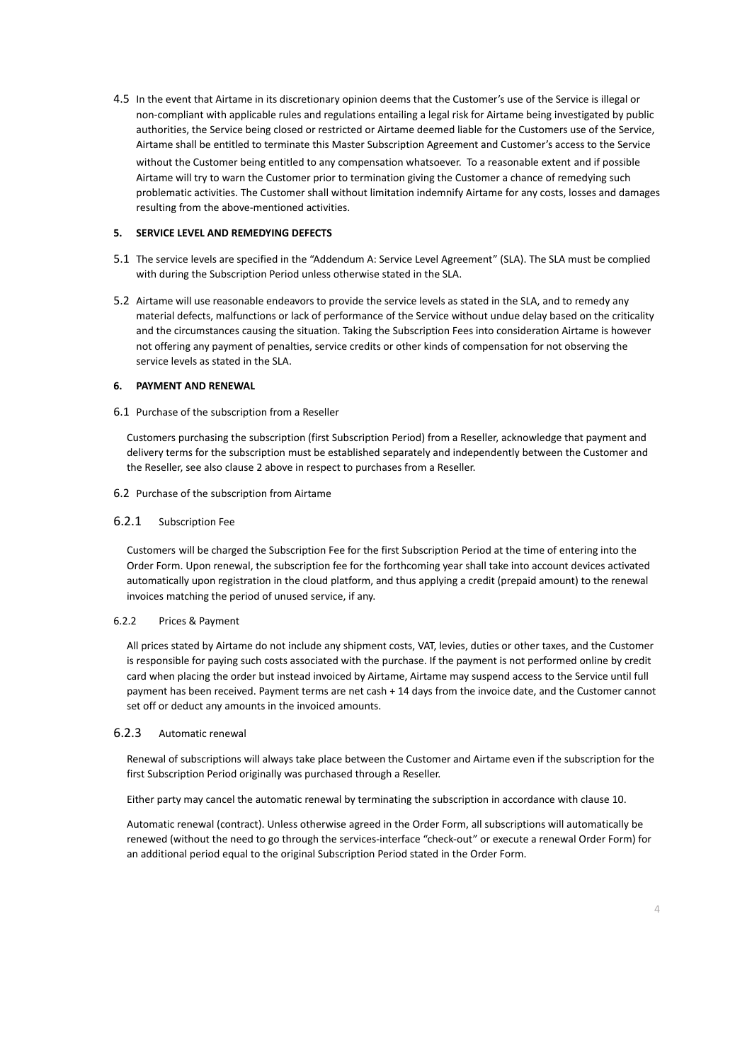4.5 In the event that Airtame in its discretionary opinion deems that the Customer's use of the Service is illegal or non-compliant with applicable rules and regulations entailing a legal risk for Airtame being investigated by public authorities, the Service being closed or restricted or Airtame deemed liable for the Customers use of the Service, Airtame shall be entitled to terminate this Master Subscription Agreement and Customer's access to the Service without the Customer being entitled to any compensation whatsoever. To a reasonable extent and if possible Airtame will try to warn the Customer prior to termination giving the Customer a chance of remedying such problematic activities. The Customer shall without limitation indemnify Airtame for any costs, losses and damages resulting from the above-mentioned activities.

## **5. SERVICE LEVEL AND REMEDYING DEFECTS**

- 5.1 The service levels are specified in the "Addendum A: Service Level Agreement" (SLA). The SLA must be complied with during the Subscription Period unless otherwise stated in the SLA.
- 5.2 Airtame will use reasonable endeavors to provide the service levels as stated in the SLA, and to remedy any material defects, malfunctions or lack of performance of the Service without undue delay based on the criticality and the circumstances causing the situation. Taking the Subscription Fees into consideration Airtame is however not offering any payment of penalties, service credits or other kinds of compensation for not observing the service levels as stated in the SLA.

## **6. PAYMENT AND RENEWAL**

#### 6.1 Purchase of the subscription from a Reseller

Customers purchasing the subscription (first Subscription Period) from a Reseller, acknowledge that payment and delivery terms for the subscription must be established separately and independently between the Customer and the Reseller, see also clause 2 above in respect to purchases from a Reseller.

## 6.2 Purchase of the subscription from Airtame

## 6.2.1 Subscription Fee

Customers will be charged the Subscription Fee for the first Subscription Period at the time of entering into the Order Form. Upon renewal, the subscription fee for the forthcoming year shall take into account devices activated automatically upon registration in the cloud platform, and thus applying a credit (prepaid amount) to the renewal invoices matching the period of unused service, if any.

#### 6.2.2 Prices & Payment

All prices stated by Airtame do not include any shipment costs, VAT, levies, duties or other taxes, and the Customer is responsible for paying such costs associated with the purchase. If the payment is not performed online by credit card when placing the order but instead invoiced by Airtame, Airtame may suspend access to the Service until full payment has been received. Payment terms are net cash + 14 days from the invoice date, and the Customer cannot set off or deduct any amounts in the invoiced amounts.

#### 6.2.3 Automatic renewal

Renewal of subscriptions will always take place between the Customer and Airtame even if the subscription for the first Subscription Period originally was purchased through a Reseller.

Either party may cancel the automatic renewal by terminating the subscription in accordance with clause 10.

Automatic renewal (contract). Unless otherwise agreed in the Order Form, all subscriptions will automatically be renewed (without the need to go through the services-interface "check-out" or execute a renewal Order Form) for an additional period equal to the original Subscription Period stated in the Order Form.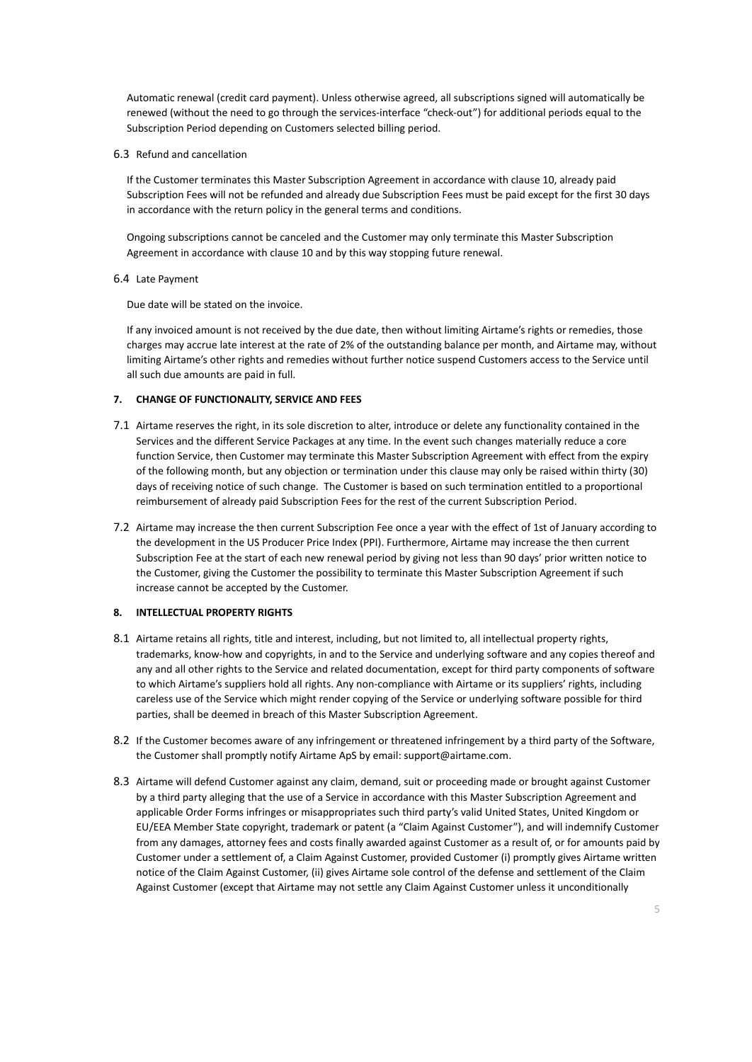Automatic renewal (credit card payment). Unless otherwise agreed, all subscriptions signed will automatically be renewed (without the need to go through the services-interface "check-out") for additional periods equal to the Subscription Period depending on Customers selected billing period.

6.3 Refund and cancellation

If the Customer terminates this Master Subscription Agreement in accordance with clause 10, already paid Subscription Fees will not be refunded and already due Subscription Fees must be paid except for the first 30 days in accordance with the return policy in the general terms and conditions.

Ongoing subscriptions cannot be canceled and the Customer may only terminate this Master Subscription Agreement in accordance with clause 10 and by this way stopping future renewal.

6.4 Late Payment

Due date will be stated on the invoice.

If any invoiced amount is not received by the due date, then without limiting Airtame's rights or remedies, those charges may accrue late interest at the rate of 2% of the outstanding balance per month, and Airtame may, without limiting Airtame's other rights and remedies without further notice suspend Customers access to the Service until all such due amounts are paid in full.

## **7. CHANGE OF FUNCTIONALITY, SERVICE AND FEES**

- 7.1 Airtame reserves the right, in its sole discretion to alter, introduce or delete any functionality contained in the Services and the different Service Packages at any time. In the event such changes materially reduce a core function Service, then Customer may terminate this Master Subscription Agreement with effect from the expiry of the following month, but any objection or termination under this clause may only be raised within thirty (30) days of receiving notice of such change. The Customer is based on such termination entitled to a proportional reimbursement of already paid Subscription Fees for the rest of the current Subscription Period.
- 7.2 Airtame may increase the then current Subscription Fee once a year with the effect of 1st of January according to the development in the US Producer Price Index (PPI). Furthermore, Airtame may increase the then current Subscription Fee at the start of each new renewal period by giving not less than 90 days' prior written notice to the Customer, giving the Customer the possibility to terminate this Master Subscription Agreement if such increase cannot be accepted by the Customer.

## **8. INTELLECTUAL PROPERTY RIGHTS**

- 8.1 Airtame retains all rights, title and interest, including, but not limited to, all intellectual property rights, trademarks, know-how and copyrights, in and to the Service and underlying software and any copies thereof and any and all other rights to the Service and related documentation, except for third party components of software to which Airtame's suppliers hold all rights. Any non-compliance with Airtame or its suppliers' rights, including careless use of the Service which might render copying of the Service or underlying software possible for third parties, shall be deemed in breach of this Master Subscription Agreement.
- 8.2 If the Customer becomes aware of any infringement or threatened infringement by a third party of the Software, the Customer shall promptly notify Airtame ApS by email: support@airtame.com.
- 8.3 Airtame will defend Customer against any claim, demand, suit or proceeding made or brought against Customer by a third party alleging that the use of a Service in accordance with this Master Subscription Agreement and applicable Order Forms infringes or misappropriates such third party's valid United States, United Kingdom or EU/EEA Member State copyright, trademark or patent (a "Claim Against Customer"), and will indemnify Customer from any damages, attorney fees and costs finally awarded against Customer as a result of, or for amounts paid by Customer under a settlement of, a Claim Against Customer, provided Customer (i) promptly gives Airtame written notice of the Claim Against Customer, (ii) gives Airtame sole control of the defense and settlement of the Claim Against Customer (except that Airtame may not settle any Claim Against Customer unless it unconditionally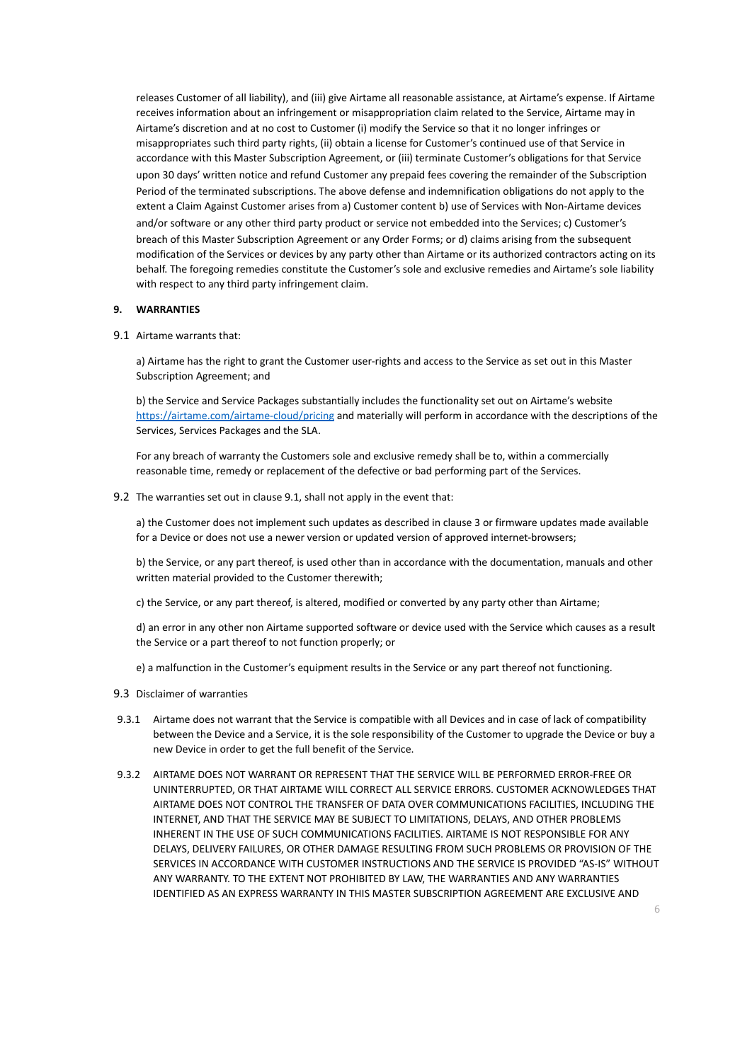releases Customer of all liability), and (iii) give Airtame all reasonable assistance, at Airtame's expense. If Airtame receives information about an infringement or misappropriation claim related to the Service, Airtame may in Airtame's discretion and at no cost to Customer (i) modify the Service so that it no longer infringes or misappropriates such third party rights, (ii) obtain a license for Customer's continued use of that Service in accordance with this Master Subscription Agreement, or (iii) terminate Customer's obligations for that Service upon 30 days' written notice and refund Customer any prepaid fees covering the remainder of the Subscription Period of the terminated subscriptions. The above defense and indemnification obligations do not apply to the extent a Claim Against Customer arises from a) Customer content b) use of Services with Non-Airtame devices and/or software or any other third party product or service not embedded into the Services; c) Customer's breach of this Master Subscription Agreement or any Order Forms; or d) claims arising from the subsequent modification of the Services or devices by any party other than Airtame or its authorized contractors acting on its behalf. The foregoing remedies constitute the Customer's sole and exclusive remedies and Airtame's sole liability with respect to any third party infringement claim.

#### **9. WARRANTIES**

#### 9.1 Airtame warrants that:

a) Airtame has the right to grant the Customer user-rights and access to the Service as set out in this Master Subscription Agreement; and

b) the Service and Service Packages substantially includes the functionality set out on Airtame's website <https://airtame.com/airtame-cloud/pricing> and materially will perform in accordance with the descriptions of the Services, Services Packages and the SLA.

For any breach of warranty the Customers sole and exclusive remedy shall be to, within a commercially reasonable time, remedy or replacement of the defective or bad performing part of the Services.

9.2 The warranties set out in clause 9.1, shall not apply in the event that:

a) the Customer does not implement such updates as described in clause 3 or firmware updates made available for a Device or does not use a newer version or updated version of approved internet-browsers;

b) the Service, or any part thereof, is used other than in accordance with the documentation, manuals and other written material provided to the Customer therewith;

c) the Service, or any part thereof, is altered, modified or converted by any party other than Airtame;

d) an error in any other non Airtame supported software or device used with the Service which causes as a result the Service or a part thereof to not function properly; or

e) a malfunction in the Customer's equipment results in the Service or any part thereof not functioning.

#### 9.3 Disclaimer of warranties

- 9.3.1 Airtame does not warrant that the Service is compatible with all Devices and in case of lack of compatibility between the Device and a Service, it is the sole responsibility of the Customer to upgrade the Device or buy a new Device in order to get the full benefit of the Service.
- 9.3.2 AIRTAME DOES NOT WARRANT OR REPRESENT THAT THE SERVICE WILL BE PERFORMED ERROR-FREE OR UNINTERRUPTED, OR THAT AIRTAME WILL CORRECT ALL SERVICE ERRORS. CUSTOMER ACKNOWLEDGES THAT AIRTAME DOES NOT CONTROL THE TRANSFER OF DATA OVER COMMUNICATIONS FACILITIES, INCLUDING THE INTERNET, AND THAT THE SERVICE MAY BE SUBJECT TO LIMITATIONS, DELAYS, AND OTHER PROBLEMS INHERENT IN THE USE OF SUCH COMMUNICATIONS FACILITIES. AIRTAME IS NOT RESPONSIBLE FOR ANY DELAYS, DELIVERY FAILURES, OR OTHER DAMAGE RESULTING FROM SUCH PROBLEMS OR PROVISION OF THE SERVICES IN ACCORDANCE WITH CUSTOMER INSTRUCTIONS AND THE SERVICE IS PROVIDED "AS-IS" WITHOUT ANY WARRANTY. TO THE EXTENT NOT PROHIBITED BY LAW, THE WARRANTIES AND ANY WARRANTIES IDENTIFIED AS AN EXPRESS WARRANTY IN THIS MASTER SUBSCRIPTION AGREEMENT ARE EXCLUSIVE AND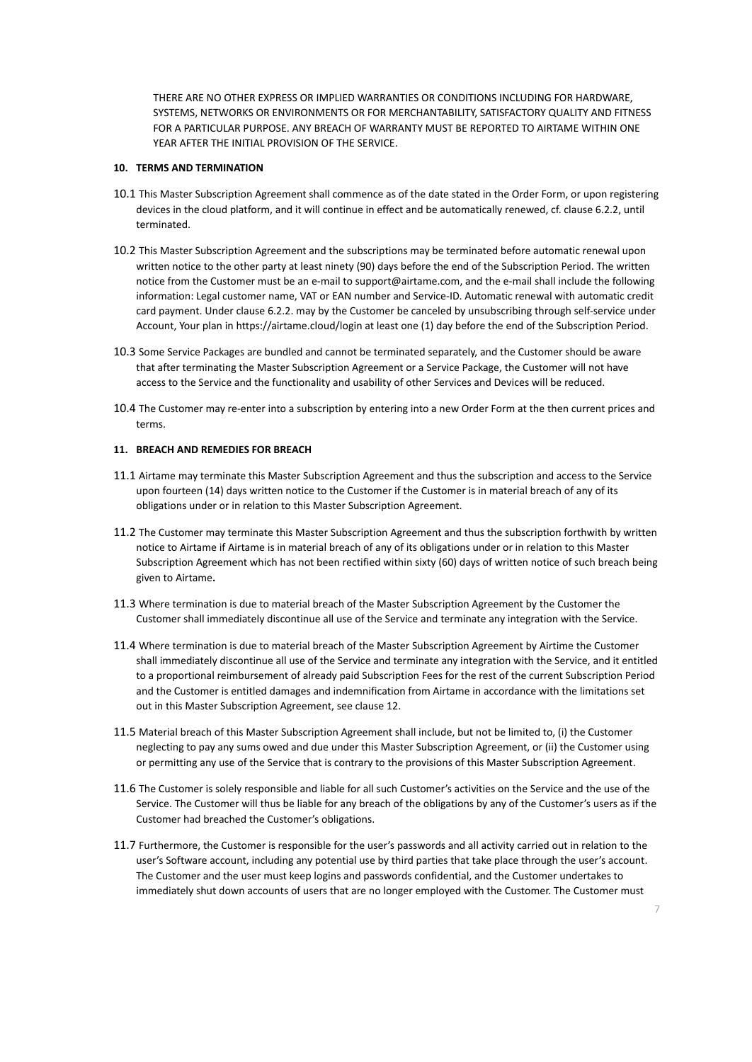THERE ARE NO OTHER EXPRESS OR IMPLIED WARRANTIES OR CONDITIONS INCLUDING FOR HARDWARE, SYSTEMS, NETWORKS OR ENVIRONMENTS OR FOR MERCHANTABILITY, SATISFACTORY QUALITY AND FITNESS FOR A PARTICULAR PURPOSE. ANY BREACH OF WARRANTY MUST BE REPORTED TO AIRTAME WITHIN ONE YEAR AFTER THE INITIAL PROVISION OF THE SERVICE.

## **10. TERMS AND TERMINATION**

- 10.1 This Master Subscription Agreement shall commence as of the date stated in the Order Form, or upon registering devices in the cloud platform, and it will continue in effect and be automatically renewed, cf. clause 6.2.2, until terminated.
- 10.2 This Master Subscription Agreement and the subscriptions may be terminated before automatic renewal upon written notice to the other party at least ninety (90) days before the end of the Subscription Period. The written notice from the Customer must be an e-mail to support@airtame.com, and the e-mail shall include the following information: Legal customer name, VAT or EAN number and Service-ID. Automatic renewal with automatic credit card payment. Under clause 6.2.2. may by the Customer be canceled by unsubscribing through self-service under Account, Your plan in https://airtame.cloud/login at least one (1) day before the end of the Subscription Period.
- 10.3 Some Service Packages are bundled and cannot be terminated separately, and the Customer should be aware that after terminating the Master Subscription Agreement or a Service Package, the Customer will not have access to the Service and the functionality and usability of other Services and Devices will be reduced.
- 10.4 The Customer may re-enter into a subscription by entering into a new Order Form at the then current prices and terms.

## **11. BREACH AND REMEDIES FOR BREACH**

- 11.1 Airtame may terminate this Master Subscription Agreement and thus the subscription and access to the Service upon fourteen (14) days written notice to the Customer if the Customer is in material breach of any of its obligations under or in relation to this Master Subscription Agreement.
- 11.2 The Customer may terminate this Master Subscription Agreement and thus the subscription forthwith by written notice to Airtame if Airtame is in material breach of any of its obligations under or in relation to this Master Subscription Agreement which has not been rectified within sixty (60) days of written notice of such breach being given to Airtame**.**
- 11.3 Where termination is due to material breach of the Master Subscription Agreement by the Customer the Customer shall immediately discontinue all use of the Service and terminate any integration with the Service.
- 11.4 Where termination is due to material breach of the Master Subscription Agreement by Airtime the Customer shall immediately discontinue all use of the Service and terminate any integration with the Service, and it entitled to a proportional reimbursement of already paid Subscription Fees for the rest of the current Subscription Period and the Customer is entitled damages and indemnification from Airtame in accordance with the limitations set out in this Master Subscription Agreement, see clause 12.
- 11.5 Material breach of this Master Subscription Agreement shall include, but not be limited to, (i) the Customer neglecting to pay any sums owed and due under this Master Subscription Agreement, or (ii) the Customer using or permitting any use of the Service that is contrary to the provisions of this Master Subscription Agreement.
- 11.6 The Customer is solely responsible and liable for all such Customer's activities on the Service and the use of the Service. The Customer will thus be liable for any breach of the obligations by any of the Customer's users as if the Customer had breached the Customer's obligations.
- 11.7 Furthermore, the Customer is responsible for the user's passwords and all activity carried out in relation to the user's Software account, including any potential use by third parties that take place through the user's account. The Customer and the user must keep logins and passwords confidential, and the Customer undertakes to immediately shut down accounts of users that are no longer employed with the Customer. The Customer must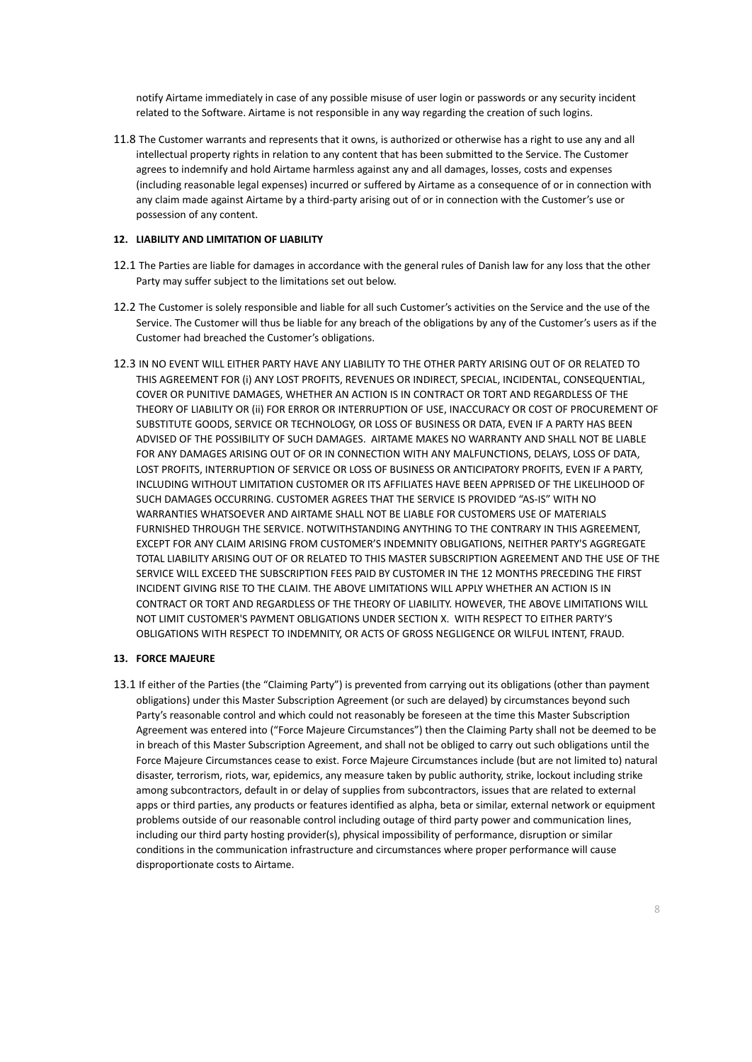notify Airtame immediately in case of any possible misuse of user login or passwords or any security incident related to the Software. Airtame is not responsible in any way regarding the creation of such logins.

11.8 The Customer warrants and represents that it owns, is authorized or otherwise has a right to use any and all intellectual property rights in relation to any content that has been submitted to the Service. The Customer agrees to indemnify and hold Airtame harmless against any and all damages, losses, costs and expenses (including reasonable legal expenses) incurred or suffered by Airtame as a consequence of or in connection with any claim made against Airtame by a third-party arising out of or in connection with the Customer's use or possession of any content.

## **12. LIABILITY AND LIMITATION OF LIABILITY**

- 12.1 The Parties are liable for damages in accordance with the general rules of Danish law for any loss that the other Party may suffer subject to the limitations set out below.
- 12.2 The Customer is solely responsible and liable for all such Customer's activities on the Service and the use of the Service. The Customer will thus be liable for any breach of the obligations by any of the Customer's users as if the Customer had breached the Customer's obligations.
- 12.3 IN NO EVENT WILL EITHER PARTY HAVE ANY LIABILITY TO THE OTHER PARTY ARISING OUT OF OR RELATED TO THIS AGREEMENT FOR (i) ANY LOST PROFITS, REVENUES OR INDIRECT, SPECIAL, INCIDENTAL, CONSEQUENTIAL, COVER OR PUNITIVE DAMAGES, WHETHER AN ACTION IS IN CONTRACT OR TORT AND REGARDLESS OF THE THEORY OF LIABILITY OR (ii) FOR ERROR OR INTERRUPTION OF USE, INACCURACY OR COST OF PROCUREMENT OF SUBSTITUTE GOODS, SERVICE OR TECHNOLOGY, OR LOSS OF BUSINESS OR DATA, EVEN IF A PARTY HAS BEEN ADVISED OF THE POSSIBILITY OF SUCH DAMAGES. AIRTAME MAKES NO WARRANTY AND SHALL NOT BE LIABLE FOR ANY DAMAGES ARISING OUT OF OR IN CONNECTION WITH ANY MALFUNCTIONS, DELAYS, LOSS OF DATA, LOST PROFITS, INTERRUPTION OF SERVICE OR LOSS OF BUSINESS OR ANTICIPATORY PROFITS, EVEN IF A PARTY, INCLUDING WITHOUT LIMITATION CUSTOMER OR ITS AFFILIATES HAVE BEEN APPRISED OF THE LIKELIHOOD OF SUCH DAMAGES OCCURRING. CUSTOMER AGREES THAT THE SERVICE IS PROVIDED "AS-IS" WITH NO WARRANTIES WHATSOEVER AND AIRTAME SHALL NOT BE LIABLE FOR CUSTOMERS USE OF MATERIALS FURNISHED THROUGH THE SERVICE. NOTWITHSTANDING ANYTHING TO THE CONTRARY IN THIS AGREEMENT, EXCEPT FOR ANY CLAIM ARISING FROM CUSTOMER'S INDEMNITY OBLIGATIONS, NEITHER PARTY'S AGGREGATE TOTAL LIABILITY ARISING OUT OF OR RELATED TO THIS MASTER SUBSCRIPTION AGREEMENT AND THE USE OF THE SERVICE WILL EXCEED THE SUBSCRIPTION FEES PAID BY CUSTOMER IN THE 12 MONTHS PRECEDING THE FIRST INCIDENT GIVING RISE TO THE CLAIM. THE ABOVE LIMITATIONS WILL APPLY WHETHER AN ACTION IS IN CONTRACT OR TORT AND REGARDLESS OF THE THEORY OF LIABILITY. HOWEVER, THE ABOVE LIMITATIONS WILL NOT LIMIT CUSTOMER'S PAYMENT OBLIGATIONS UNDER SECTION X. WITH RESPECT TO EITHER PARTY'S OBLIGATIONS WITH RESPECT TO INDEMNITY, OR ACTS OF GROSS NEGLIGENCE OR WILFUL INTENT, FRAUD.

# **13. FORCE MAJEURE**

13.1 If either of the Parties (the "Claiming Party") is prevented from carrying out its obligations (other than payment obligations) under this Master Subscription Agreement (or such are delayed) by circumstances beyond such Party's reasonable control and which could not reasonably be foreseen at the time this Master Subscription Agreement was entered into ("Force Majeure Circumstances") then the Claiming Party shall not be deemed to be in breach of this Master Subscription Agreement, and shall not be obliged to carry out such obligations until the Force Majeure Circumstances cease to exist. Force Majeure Circumstances include (but are not limited to) natural disaster, terrorism, riots, war, epidemics, any measure taken by public authority, strike, lockout including strike among subcontractors, default in or delay of supplies from subcontractors, issues that are related to external apps or third parties, any products or features identified as alpha, beta or similar, external network or equipment problems outside of our reasonable control including outage of third party power and communication lines, including our third party hosting provider(s), physical impossibility of performance, disruption or similar conditions in the communication infrastructure and circumstances where proper performance will cause disproportionate costs to Airtame.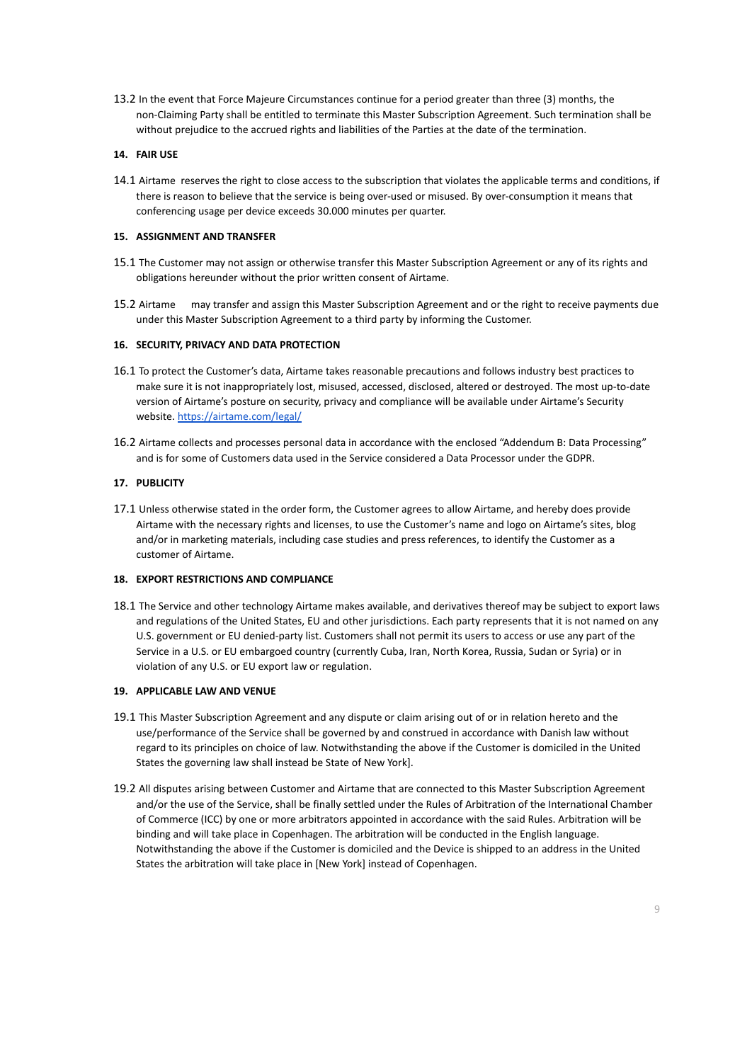13.2 In the event that Force Majeure Circumstances continue for a period greater than three (3) months, the non-Claiming Party shall be entitled to terminate this Master Subscription Agreement. Such termination shall be without prejudice to the accrued rights and liabilities of the Parties at the date of the termination.

## **14. FAIR USE**

14.1 Airtame reserves the right to close access to the subscription that violates the applicable terms and conditions, if there is reason to believe that the service is being over-used or misused. By over-consumption it means that conferencing usage per device exceeds 30.000 minutes per quarter.

## **15. ASSIGNMENT AND TRANSFER**

- 15.1 The Customer may not assign or otherwise transfer this Master Subscription Agreement or any of its rights and obligations hereunder without the prior written consent of Airtame.
- 15.2 Airtame may transfer and assign this Master Subscription Agreement and or the right to receive payments due under this Master Subscription Agreement to a third party by informing the Customer.

# **16. SECURITY, PRIVACY AND DATA PROTECTION**

- 16.1 To protect the Customer's data, Airtame takes reasonable precautions and follows industry best practices to make sure it is not inappropriately lost, misused, accessed, disclosed, altered or destroyed. The most up-to-date version of Airtame's posture on security, privacy and compliance will be available under [Airtame's Security](https://airtame.com/security/) [website](https://airtame.com/security/). <https://airtame.com/legal/>
- 16.2 Airtame collects and processes personal data in accordance with the enclosed "Addendum B: Data Processing" and is for some of Customers data used in the Service considered a Data Processor under the GDPR.

# **17. PUBLICITY**

17.1 Unless otherwise stated in the order form, the Customer agrees to allow Airtame, and hereby does provide Airtame with the necessary rights and licenses, to use the Customer's name and logo on Airtame's sites, blog and/or in marketing materials, including case studies and press references, to identify the Customer as a customer of Airtame.

## **18. EXPORT RESTRICTIONS AND COMPLIANCE**

18.1 The Service and other technology Airtame makes available, and derivatives thereof may be subject to export laws and regulations of the United States, EU and other jurisdictions. Each party represents that it is not named on any U.S. government or EU denied-party list. Customers shall not permit its users to access or use any part of the Service in a U.S. or EU embargoed country (currently Cuba, Iran, North Korea, Russia, Sudan or Syria) or in violation of any U.S. or EU export law or regulation.

## **19. APPLICABLE LAW AND VENUE**

- 19.1 This Master Subscription Agreement and any dispute or claim arising out of or in relation hereto and the use/performance of the Service shall be governed by and construed in accordance with Danish law without regard to its principles on choice of law. Notwithstanding the above if the Customer is domiciled in the United States the governing law shall instead be State of New York].
- 19.2 All disputes arising between Customer and Airtame that are connected to this Master Subscription Agreement and/or the use of the Service, shall be finally settled under the Rules of Arbitration of the International Chamber of Commerce (ICC) by one or more arbitrators appointed in accordance with the said Rules. Arbitration will be binding and will take place in Copenhagen. The arbitration will be conducted in the English language. Notwithstanding the above if the Customer is domiciled and the Device is shipped to an address in the United States the arbitration will take place in [New York] instead of Copenhagen.